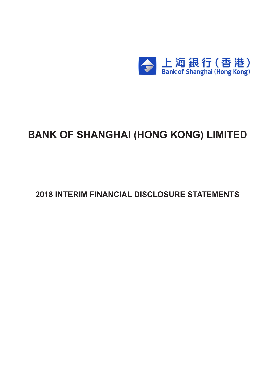

# **BANK OF SHANGHAI (HONG KONG) LIMITED**

**2018 INTERIM FINANCIAL DISCLOSURE STATEMENTS**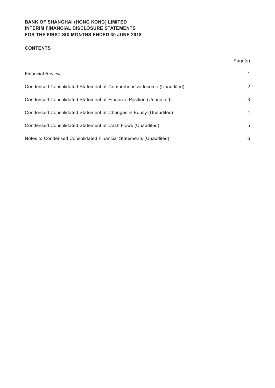# **CONTENTS**

|                                                                      | Page(s) |
|----------------------------------------------------------------------|---------|
| <b>Financial Review</b>                                              | 1       |
| Condensed Consolidated Statement of Comprehensive Income (Unaudited) | 2       |
| Condensed Consolidated Statement of Financial Position (Unaudited)   | 3       |
| Condensed Consolidated Statement of Changes in Equity (Unaudited)    | 4       |
| Condensed Consolidated Statement of Cash Flows (Unaudited)           | 5       |
| Notes to Condensed Consolidated Financial Statements (Unaudited)     | 6       |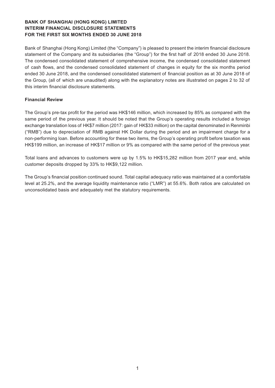Bank of Shanghai (Hong Kong) Limited (the "Company") is pleased to present the interim financial disclosure statement of the Company and its subsidiaries (the "Group") for the first half of 2018 ended 30 June 2018. The condensed consolidated statement of comprehensive income, the condensed consolidated statement of cash flows, and the condensed consolidated statement of changes in equity for the six months period ended 30 June 2018, and the condensed consolidated statement of financial position as at 30 June 2018 of the Group, (all of which are unaudited) along with the explanatory notes are illustrated on pages 2 to 32 of this interim financial disclosure statements.

## **Financial Review**

The Group's pre-tax profit for the period was HK\$146 million, which increased by 85% as compared with the same period of the previous year. It should be noted that the Group's operating results included a foreign exchange translation loss of HK\$7 million (2017: gain of HK\$33 million) on the capital denominated in Renminbi ("RMB") due to depreciation of RMB against HK Dollar during the period and an impairment charge for a non-performing loan. Before accounting for these two items, the Group's operating profit before taxation was HK\$199 million, an increase of HK\$17 million or 9% as compared with the same period of the previous year.

Total loans and advances to customers were up by 1.5% to HK\$15,282 million from 2017 year end, while customer deposits dropped by 33% to HK\$9,122 million.

The Group's financial position continued sound. Total capital adequacy ratio was maintained at a comfortable level at 25.2%, and the average liquidity maintenance ratio ("LMR") at 55.6%. Both ratios are calculated on unconsolidated basis and adequately met the statutory requirements.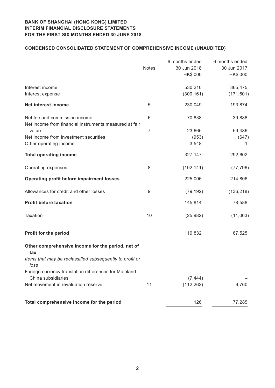# **Condensed CONSOLIDATED STATEMENT OF COMPREHENSIVE INCOME (unaudited)**

|                                                                             | <b>Notes</b> | 6 months ended<br>30 Jun 2018 | 6 months ended<br>30 Jun 2017 |
|-----------------------------------------------------------------------------|--------------|-------------------------------|-------------------------------|
|                                                                             |              | HK\$'000                      | HK\$'000                      |
| Interest income                                                             |              | 530,210                       | 365,475                       |
| Interest expense                                                            |              | (300, 161)                    | (171, 601)                    |
| Net interest income                                                         | 5            | 230,049                       | 193,874                       |
| Net fee and commission income                                               | 6            | 70,838                        | 39,888                        |
| Net income from financial instruments measured at fair<br>value             | 7            | 23,665                        | 59,486                        |
| Net income from investment securities                                       |              | (953)                         | (647)                         |
| Other operating income                                                      |              | 3,548                         |                               |
| <b>Total operating income</b>                                               |              | 327,147                       | 292,602                       |
| Operating expenses                                                          | 8            | (102, 141)                    | (77, 796)                     |
| <b>Operating profit before impairment losses</b>                            |              | 225,006                       | 214,806                       |
| Allowances for credit and other losses                                      | 9            | (79, 192)                     | (136, 218)                    |
| <b>Profit before taxation</b>                                               |              | 145,814                       | 78,588                        |
| <b>Taxation</b>                                                             | 10           | (25, 982)                     | (11,063)                      |
| Profit for the period                                                       |              | 119,832                       | 67,525                        |
| Other comprehensive income for the period, net of                           |              |                               |                               |
| tax<br>Items that may be reclassified subsequently to profit or<br>loss     |              |                               |                               |
| Foreign currency translation differences for Mainland<br>China subsidiaries |              | (7, 444)                      |                               |
| Net movement in revaluation reserve                                         | 11           | (112, 262)                    | 9,760                         |
| Total comprehensive income for the period                                   |              | 126                           | 77,285                        |
|                                                                             |              |                               |                               |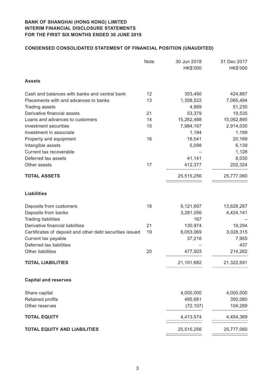# **Condensed CONSOLIDATED STATEMENT OF FINANCIAL POSITION (unaudited)**

|                                                          | Note | 30 Jun 2018<br>HK\$'000 | 31 Dec 2017<br>HK\$'000 |
|----------------------------------------------------------|------|-------------------------|-------------------------|
| <b>Assets</b>                                            |      |                         |                         |
| Cash and balances with banks and central bank            | 12   | 353,490                 | 424,887                 |
| Placements with and advances to banks                    | 13   | 1,358,522               | 7,065,494               |
| <b>Trading assets</b>                                    |      | 4,869                   | 51,230                  |
| Derivative financial assets                              | 21   | 53,379                  | 19,535                  |
| Loans and advances to customers                          | 14   | 15,282,488              | 15,062,895              |
| Investment securities                                    | 15   | 7,984,167               | 2,914,030               |
| Investment in associate                                  |      | 1,184                   | 1,199                   |
| Property and equipment                                   | 16   | 18,541                  | 20,169                  |
| Intangible assets                                        |      | 5,098                   | 6,139                   |
| Current tax recoverable                                  |      |                         | 1,128                   |
| Deferred tax assets                                      |      | 41,141                  | 8,030                   |
| Other assets                                             | 17   | 412,377                 | 202,324                 |
| <b>TOTAL ASSETS</b>                                      |      | 25,515,256              | 25,777,060              |
| <b>Liabilities</b>                                       |      |                         |                         |
| Deposits from customers                                  | 18   | 9,121,697               | 13,628,287              |
| Deposits from banks                                      |      | 3,281,056               | 4,424,141               |
| <b>Trading liabilities</b>                               |      | 167                     |                         |
| Derivative financial liabilities                         | 21   | 130,974                 | 19,294                  |
| Certificates of deposit and other debt securities issued | 19   | 8,053,069               | 3,028,315               |
| Current tax payable                                      |      | 37,216                  | 7,955                   |
| Deferred tax liabilities                                 |      |                         | 437                     |
| <b>Other liabilities</b>                                 | 20   | 477,503                 | 214,262                 |
| <b>TOTAL LIABILITIES</b>                                 |      | 21,101,682              | 21,322,691              |
| <b>Capital and reserves</b>                              |      |                         |                         |
| Share capital                                            |      | 4,000,000               | 4,000,000               |
| Retained profits                                         |      | 485,681                 | 350,080                 |
| Other reserves                                           |      | (72, 107)               | 104,289                 |
| <b>TOTAL EQUITY</b>                                      |      | 4,413,574               | 4,454,369               |
| <b>TOTAL EQUITY AND LIABILITIES</b>                      |      | 25,515,256              | 25,777,060              |
|                                                          |      |                         |                         |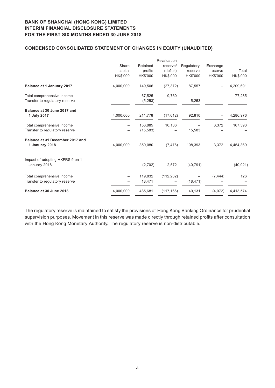## **Condensed CONSOLIDATED STATEMENT OF CHANGES IN EQUITY (unaudited)**

|                                  |           |           | Revaluation |            |          |           |
|----------------------------------|-----------|-----------|-------------|------------|----------|-----------|
|                                  | Share     | Retained  | reserve/    | Regulatory | Exchange |           |
|                                  | capital   | profits   | (deficit)   | reserve    | reserve  | Total     |
|                                  | HK\$'000  | HK\$'000  | HK\$'000    | HK\$'000   | HK\$'000 | HK\$'000  |
| <b>Balance at 1 January 2017</b> | 4,000,000 | 149,506   | (27, 372)   | 87,557     |          | 4,209,691 |
| Total comprehensive income       |           | 67.525    | 9,760       |            |          | 77,285    |
| Transfer to regulatory reserve   |           | (5,253)   |             | 5,253      |          |           |
| Balance at 30 June 2017 and      |           |           |             |            |          |           |
| 1 July 2017                      | 4,000,000 | 211,778   | (17, 612)   | 92,810     |          | 4,286,976 |
| Total comprehensive income       |           | 153,885   | 10,136      |            | 3,372    | 167,393   |
| Transfer to regulatory reserve   |           | (15, 583) |             | 15,583     |          |           |
| Balance at 31 December 2017 and  |           |           |             |            |          |           |
| 1 January 2018                   | 4,000,000 | 350,080   | (7, 476)    | 108,393    | 3,372    | 4,454,369 |
| Impact of adopting HKFRS 9 on 1  |           |           |             |            |          |           |
| January 2018                     |           | (2,702)   | 2,572       | (40, 791)  |          | (40, 921) |
| Total comprehensive income       |           | 119,832   | (112, 262)  |            | (7, 444) | 126       |
| Transfer to regulatory reserve   |           | 18,471    |             | (18, 471)  |          |           |
| Balance at 30 June 2018          | 4,000,000 | 485,681   | (117, 166)  | 49,131     | (4,072)  | 4,413,574 |
|                                  |           |           |             |            |          |           |

The regulatory reserve is maintained to satisfy the provisions of Hong Kong Banking Ordinance for prudential supervision purposes. Movement in this reserve was made directly through retained profits after consultation with the Hong Kong Monetary Authority. The regulatory reserve is non-distributable.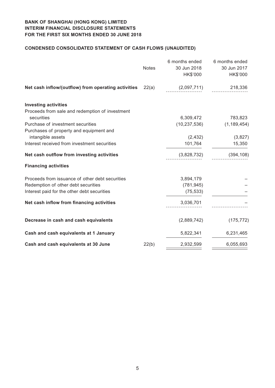# **Condensed CONSOLIDATED STATEMENT OF CASH FLOWS (unaudited)**

|                                                     | <b>Notes</b> | 6 months ended<br>30 Jun 2018<br>HK\$'000 | 6 months ended<br>30 Jun 2017<br>HK\$'000 |
|-----------------------------------------------------|--------------|-------------------------------------------|-------------------------------------------|
| Net cash inflow/(outflow) from operating activities | 22(a)        | (2,097,711)                               | 218,336                                   |
| <b>Investing activities</b>                         |              |                                           |                                           |
| Proceeds from sale and redemption of investment     |              |                                           |                                           |
| securities                                          |              | 6,309,472                                 | 783,823                                   |
| Purchase of investment securities                   |              | (10, 237, 536)                            | (1, 189, 454)                             |
| Purchases of property and equipment and             |              |                                           |                                           |
| intangible assets                                   |              | (2, 432)                                  | (3,827)                                   |
| Interest received from investment securities        |              | 101,764                                   | 15,350                                    |
| Net cash outflow from investing activities          |              | (3,828,732)                               | (394, 108)                                |
| <b>Financing activities</b>                         |              |                                           |                                           |
| Proceeds from issuance of other debt securities     |              | 3,894,179                                 |                                           |
| Redemption of other debt securities                 |              | (781, 945)                                |                                           |
| Interest paid for the other debt securities         |              | (75, 533)                                 |                                           |
| Net cash inflow from financing activities           |              | 3,036,701                                 |                                           |
| Decrease in cash and cash equivalents               |              | (2,889,742)                               | (175, 772)                                |
| Cash and cash equivalents at 1 January              |              | 5,822,341                                 | 6,231,465                                 |
| Cash and cash equivalents at 30 June                | 22(b)        | 2,932,599                                 | 6,055,693                                 |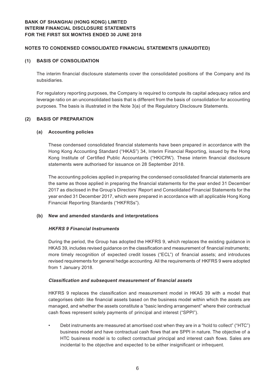## **Notes to Condensed Consolidated Financial Statements (Unaudited)**

#### **(1) BASIS OF CONSOLIDATION**

The interim financial disclosure statements cover the consolidated positions of the Company and its subsidiaries.

For regulatory reporting purposes, the Company is required to compute its capital adequacy ratios and leverage ratio on an unconsolidated basis that is different from the basis of consolidation for accounting purposes. The basis is illustrated in the Note 3(a) of the Regulatory Disclosure Statements.

#### **(2) BASIS OF PREPARATION**

#### **(a) Accounting policies**

These condensed consolidated financial statements have been prepared in accordance with the Hong Kong Accounting Standard ("HKAS") 34, Interim Financial Reporting, issued by the Hong Kong Institute of Certified Public Accountants ("HKICPA"). These interim financial disclosure statements were authorised for issuance on 28 September 2018.

The accounting policies applied in preparing the condensed consolidated financial statements are the same as those applied in preparing the financial statements for the year ended 31 December 2017 as disclosed in the Group's Directors' Report and Consolidated Financial Statements for the year ended 31 December 2017, which were prepared in accordance with all applicable Hong Kong Financial Reporting Standards ("HKFRSs").

#### **(b) New and amended standards and interpretations**

#### **HKFRS 9 Financial Instruments**

During the period, the Group has adopted the HKFRS 9, which replaces the existing guidance in HKAS 39, includes revised guidance on the classification and measurement of financial instruments; more timely recognition of expected credit losses ("ECL") of financial assets; and introduces revised requirements for general hedge accounting. All the requirements of HKFRS 9 were adopted from 1 January 2018.

#### **Classification and subsequent measurement of financial assets**

HKFRS 9 replaces the classification and measurement model in HKAS 39 with a model that categorises debt- like financial assets based on the business model within which the assets are managed, and whether the assets constitute a "basic lending arrangement" where their contractual cash flows represent solely payments of principal and interest ("SPPI").

• Debt instruments are measured at amortised cost when they are in a "hold to collect" ("HTC") business model and have contractual cash flows that are SPPI in nature. The objective of a HTC business model is to collect contractual principal and interest cash flows. Sales are incidental to the objective and expected to be either insignificant or infrequent.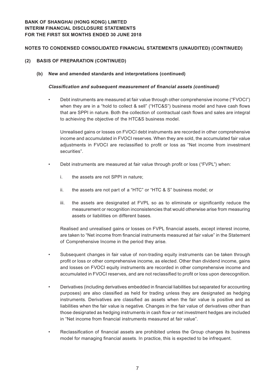## **Notes to Condensed Consolidated Financial Statements (Unaudited) (CONTINUED)**

- **(2) BASIS OF PREPARATION (CONTINUED)**
	- **(b) New and amended standards and interpretations (continued)**

## **Classification and subsequent measurement of financial assets (continued)**

• Debt instruments are measured at fair value through other comprehensive income ("FVOCI") when they are in a "hold to collect & sell" ("HTC&S") business model and have cash flows that are SPPI in nature. Both the collection of contractual cash flows and sales are integral to achieving the objective of the HTC&S business model.

Unrealised gains or losses on FVOCI debt instruments are recorded in other comprehensive income and accumulated in FVOCI reserves. When they are sold, the accumulated fair value adjustments in FVOCI are reclassified to profit or loss as "Net income from investment securities".

- Debt instruments are measured at fair value through profit or loss ("FVPL") when:
	- i. the assets are not SPPI in nature;
	- ii. the assets are not part of a "HTC" or "HTC & S" business model; or
	- iii. the assets are designated at FVPL so as to eliminate or significantly reduce the measurement or recognition inconsistencies that would otherwise arise from measuring assets or liabilities on different bases.

Realised and unrealised gains or losses on FVPL financial assets, except interest income, are taken to "Net income from financial instruments measured at fair value" in the Statement of Comprehensive Income in the period they arise.

- Subsequent changes in fair value of non-trading equity instruments can be taken through profit or loss or other comprehensive income, as elected. Other than dividend income, gains and losses on FVOCI equity instruments are recorded in other comprehensive income and accumulated in FVOCI reserves, and are not reclassified to profit or loss upon derecognition.
- Derivatives (including derivatives embedded in financial liabilities but separated for accounting purposes) are also classified as held for trading unless they are designated as hedging instruments. Derivatives are classified as assets when the fair value is positive and as liabilities when the fair value is negative. Changes in the fair value of derivatives other than those designated as hedging instruments in cash flow or net investment hedges are included in "Net income from financial instruments measured at fair value".
- Reclassification of financial assets are prohibited unless the Group changes its business model for managing financial assets. In practice, this is expected to be infrequent.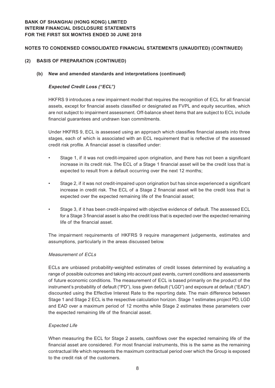## **Notes to Condensed Consolidated Financial Statements (Unaudited) (CONTINUED)**

## **(2) BASIS OF PREPARATION (CONTINUED)**

## **(b) New and amended standards and interpretations (continued)**

## **Expected Credit Loss ("ECL")**

HKFRS 9 introduces a new impairment model that requires the recognition of ECL for all financial assets, except for financial assets classified or designated as FVPL and equity securities, which are not subject to impairment assessment. Off-balance sheet items that are subject to ECL include financial guarantees and undrawn loan commitments.

Under HKFRS 9, ECL is assessed using an approach which classifies financial assets into three stages, each of which is associated with an ECL requirement that is reflective of the assessed credit risk profile. A financial asset is classified under:

- Stage 1, if it was not credit-impaired upon origination, and there has not been a significant increase in its credit risk. The ECL of a Stage 1 financial asset will be the credit loss that is expected to result from a default occurring over the next 12 months;
- Stage 2, if it was not credit-impaired upon origination but has since experienced a significant increase in credit risk. The ECL of a Stage 2 financial asset will be the credit loss that is expected over the expected remaining life of the financial asset;
- Stage 3, if it has been credit-impaired with objective evidence of default. The assessed ECL for a Stage 3 financial asset is also the credit loss that is expected over the expected remaining life of the financial asset.

The impairment requirements of HKFRS 9 require management judgements, estimates and assumptions, particularly in the areas discussed below.

#### Measurement of ECLs

ECLs are unbiased probability-weighted estimates of credit losses determined by evaluating a range of possible outcomes and taking into account past events, current conditions and assessments of future economic conditions. The measurement of ECL is based primarily on the product of the instrument's probability of default ("PD"), loss given default ("LGD") and exposure at default ("EAD") discounted using the Effective Interest Rate to the reporting date. The main difference between Stage 1 and Stage 2 ECL is the respective calculation horizon. Stage 1 estimates project PD, LGD and EAD over a maximum period of 12 months while Stage 2 estimates these parameters over the expected remaining life of the financial asset.

#### Expected Life

When measuring the ECL for Stage 2 assets, cashflows over the expected remaining life of the financial asset are considered. For most financial instruments, this is the same as the remaining contractual life which represents the maximum contractual period over which the Group is exposed to the credit risk of the customers.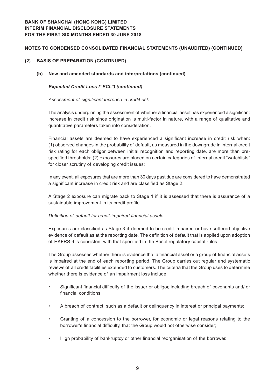## **Notes to Condensed Consolidated Financial Statements (Unaudited) (CONTINUED)**

## **(2) BASIS OF PREPARATION (CONTINUED)**

## **(b) New and amended standards and interpretations (continued)**

## **Expected Credit Loss ("ECL") (continued)**

#### Assessment of significant increase in credit risk

The analysis underpinning the assessment of whether a financial asset has experienced a significant increase in credit risk since origination is multi-factor in nature, with a range of qualitative and quantitative parameters taken into consideration.

Financial assets are deemed to have experienced a significant increase in credit risk when: (1) observed changes in the probability of default, as measured in the downgrade in internal credit risk rating for each obligor between initial recognition and reporting date, are more than prespecified thresholds; (2) exposures are placed on certain categories of internal credit "watchlists" for closer scrutiny of developing credit issues;

In any event, all exposures that are more than 30 days past due are considered to have demonstrated a significant increase in credit risk and are classified as Stage 2.

A Stage 2 exposure can migrate back to Stage 1 if it is assessed that there is assurance of a sustainable improvement in its credit profile.

#### Definition of default for credit-impaired financial assets

Exposures are classified as Stage 3 if deemed to be credit-impaired or have suffered objective evidence of default as at the reporting date. The definition of default that is applied upon adoption of HKFRS 9 is consistent with that specified in the Basel regulatory capital rules.

The Group assesses whether there is evidence that a financial asset or a group of financial assets is impaired at the end of each reporting period, The Group carries out regular and systematic reviews of all credit facilities extended to customers. The criteria that the Group uses to determine whether there is evidence of an impairment loss include:

- Significant financial difficulty of the issuer or obligor, including breach of covenants and/ or financial conditions;
- A breach of contract, such as a default or delinquency in interest or principal payments;
- Granting of a concession to the borrower, for economic or legal reasons relating to the borrower's financial difficulty, that the Group would not otherwise consider;
- High probability of bankruptcy or other financial reorganisation of the borrower.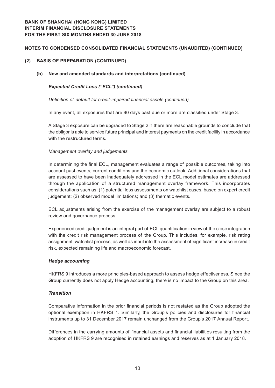## **Notes to Condensed Consolidated Financial Statements (Unaudited) (CONTINUED)**

## **(2) BASIS OF PREPARATION (CONTINUED)**

#### **(b) New and amended standards and interpretations (continued)**

#### **Expected Credit Loss ("ECL") (continued)**

Definition of default for credit-impaired financial assets (continued)

In any event, all exposures that are 90 days past due or more are classified under Stage 3.

A Stage 3 exposure can be upgraded to Stage 2 if there are reasonable grounds to conclude that the obligor is able to service future principal and interest payments on the credit facility in accordance with the restructured terms.

#### Management overlay and judgements

In determining the final ECL, management evaluates a range of possible outcomes, taking into account past events, current conditions and the economic outlook. Additional considerations that are assessed to have been inadequately addressed in the ECL model estimates are addressed through the application of a structured management overlay framework. This incorporates considerations such as: (1) potential loss assessments on watchlist cases, based on expert credit judgement; (2) observed model limitations; and (3) thematic events.

ECL adjustments arising from the exercise of the management overlay are subject to a robust review and governance process.

Experienced credit judgment is an integral part of ECL quantification in view of the close integration with the credit risk management process of the Group. This includes, for example, risk rating assignment, watchlist process, as well as input into the assessment of significant increase in credit risk, expected remaining life and macroeconomic forecast.

#### **Hedge accounting**

HKFRS 9 introduces a more principles-based approach to assess hedge effectiveness. Since the Group currently does not apply Hedge accounting, there is no impact to the Group on this area.

#### **Transition**

Comparative information in the prior financial periods is not restated as the Group adopted the optional exemption in HKFRS 1. Similarly, the Group's policies and disclosures for financial instruments up to 31 December 2017 remain unchanged from the Group's 2017 Annual Report.

Differences in the carrying amounts of financial assets and financial liabilities resulting from the adoption of HKFRS 9 are recognised in retained earnings and reserves as at 1 January 2018.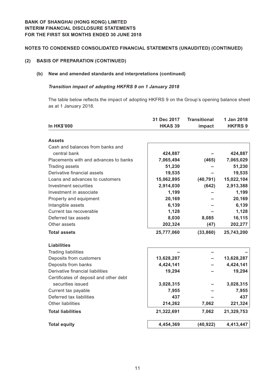## **Notes to Condensed Consolidated Financial Statements (Unaudited) (CONTINUED)**

## **(2) BASIS OF PREPARATION (CONTINUED)**

## **(b) New and amended standards and interpretations (continued)**

#### **Transition impact of adopting HKFRS 9 on 1 January 2018**

The table below reflects the impact of adopting HKFRS 9 on the Group's opening balance sheet as at 1 January 2018.

|                                        | 31 Dec 2017    | <b>Transitional</b> | 1 Jan 2018     |
|----------------------------------------|----------------|---------------------|----------------|
| <b>In HK\$'000</b>                     | <b>HKAS 39</b> | impact              | <b>HKFRS 9</b> |
|                                        |                |                     |                |
| <b>Assets</b>                          |                |                     |                |
| Cash and balances from banks and       |                |                     |                |
| central bank                           | 424,887        |                     | 424,887        |
| Placements with and advances to banks  | 7,065,494      | (465)               | 7,065,029      |
| <b>Trading assets</b>                  | 51,230         |                     | 51,230         |
| Derivative financial assets            | 19,535         |                     | 19,535         |
| Loans and advances to customers        | 15,062,895     | (40, 791)           | 15,022,104     |
| Investment securities                  | 2,914,030      | (642)               | 2,913,388      |
| Investment in associate                | 1,199          |                     | 1,199          |
| Property and equipment                 | 20,169         |                     | 20,169         |
| Intangible assets                      | 6,139          |                     | 6,139          |
| Current tax recoverable                | 1,128          |                     | 1,128          |
| Deferred tax assets                    | 8,030          | 8,085               | 16,115         |
| Other assets                           | 202,324        | (47)                | 202,277        |
| <b>Total assets</b>                    | 25,777,060     | (33, 860)           | 25,743,200     |
| <b>Liabilities</b>                     |                |                     |                |
| <b>Trading liabilities</b>             |                |                     |                |
| Deposits from customers                | 13,628,287     |                     | 13,628,287     |
| Deposits from banks                    | 4,424,141      |                     | 4,424,141      |
| Derivative financial liabilities       | 19,294         |                     | 19,294         |
| Certificates of deposit and other debt |                |                     |                |
| securities issued                      | 3,028,315      |                     | 3,028,315      |
| Current tax payable                    | 7,955          |                     | 7,955          |
| Deferred tax liabilities               | 437            |                     | 437            |
| <b>Other liabilities</b>               | 214,262        | 7,062               | 221,324        |
| <b>Total liabilities</b>               | 21,322,691     | 7,062               | 21,329,753     |
| <b>Total equity</b>                    | 4,454,369      | (40, 922)           | 4,413,447      |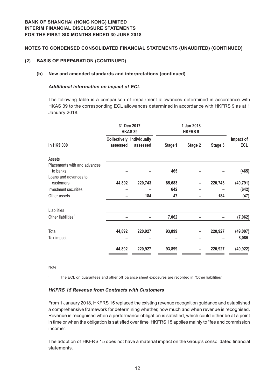## **(2) BASIS OF PREPARATION (CONTINUED)**

## **(b) New and amended standards and interpretations (continued)**

## **Additional information on impact of ECL**

The following table is a comparison of impairment allowances determined in accordance with HKAS 39 to the corresponding ECL allowances determined in accordance with HKFRS 9 as at 1 January 2018.

|                                                                   | 31 Dec 2017<br><b>HKAS 39</b> |                                              |         | 1 Jan 2018<br><b>HKFRS 9</b> |         |                         |
|-------------------------------------------------------------------|-------------------------------|----------------------------------------------|---------|------------------------------|---------|-------------------------|
| In HK\$'000                                                       | assessed                      | <b>Collectively Individually</b><br>assessed | Stage 1 | Stage 2                      | Stage 3 | Impact of<br><b>ECL</b> |
| Assets                                                            |                               |                                              |         |                              |         |                         |
| Placements with and advances<br>to banks<br>Loans and advances to |                               |                                              | 465     |                              |         | (465)                   |
| customers                                                         | 44,892                        | 220,743                                      | 85,683  |                              | 220,743 | (40, 791)               |
| Investment securities                                             |                               |                                              | 642     |                              |         | (642)                   |
| Other assets                                                      |                               | 184                                          | 47      |                              | 184     | (47)                    |
| Liabilities                                                       |                               |                                              |         |                              |         |                         |
| Other liabilities $1$                                             |                               |                                              | 7,062   |                              |         | (7,062)                 |
| Total                                                             | 44,892                        | 220,927                                      | 93,899  |                              | 220,927 | (49,007)                |
| Tax impact                                                        |                               |                                              |         |                              |         | 8,085                   |
|                                                                   | 44,892                        | 220,927                                      | 93,899  |                              | 220,927 | (40, 922)               |

Note:

1 The ECL on guarantees and other off balance sheet exposures are recorded in "Other liabilities"

#### **HKFRS 15 Revenue from Contracts with Customers**

From 1 January 2018, HKFRS 15 replaced the existing revenue recognition guidance and established a comprehensive framework for determining whether, how much and when revenue is recognised. Revenue is recognised when a performance obligation is satisfied, which could either be at a point in time or when the obligation is satisfied over time. HKFRS 15 applies mainly to "fee and commission income".

The adoption of HKFRS 15 does not have a material impact on the Group's consolidated financial statements.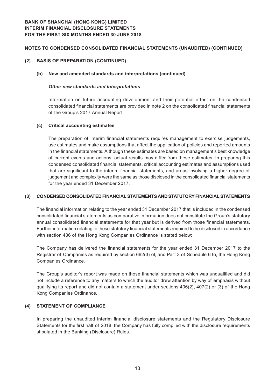## **(2) BASIS OF PREPARATION (CONTINUED)**

#### **(b) New and amended standards and interpretations (continued)**

#### **Other new standards and interpretations**

Information on future accounting development and their potential effect on the condensed consolidated financial statements are provided in note 2 on the consolidated financial statements of the Group's 2017 Annual Report.

#### **(c) Critical accounting estimates**

The preparation of interim financial statements requires management to exercise judgements, use estimates and make assumptions that affect the application of policies and reported amounts in the financial statements. Although these estimates are based on management's best knowledge of current events and actions, actual results may differ from these estimates. In preparing this condensed consolidated financial statements, critical accounting estimates and assumptions used that are significant to the interim financial statements, and areas involving a higher degree of judgement and complexity were the same as those disclosed in the consolidated financial statements for the year ended 31 December 2017.

#### **(3) CONDENSED CONSOLIDATED FINANCIAL STATEMENTS AND STATUTORY FINANCIAL STATEMENTS**

The financial information relating to the year ended 31 December 2017 that is included in the condensed consolidated financial statements as comparative information does not constitute the Group's statutory annual consolidated financial statements for that year but is derived from those financial statements. Further information relating to these statutory financial statements required to be disclosed in accordance with section 436 of the Hong Kong Companies Ordinance is stated below:

The Company has delivered the financial statements for the year ended 31 December 2017 to the Registrar of Companies as required by section 662(3) of, and Part 3 of Schedule 6 to, the Hong Kong Companies Ordinance.

The Group's auditor's report was made on those financial statements which was unqualified and did not include a reference to any matters to which the auditor drew attention by way of emphasis without qualifying its report and did not contain a statement under sections 406(2), 407(2) or (3) of the Hong Kong Companies Ordinance.

## **(4) STATEMENT OF COMPLIANCE**

In preparing the unaudited interim financial disclosure statements and the Regulatory Disclosure Statements for the first half of 2018, the Company has fully complied with the disclosure requirements stipulated in the Banking (Disclosure) Rules.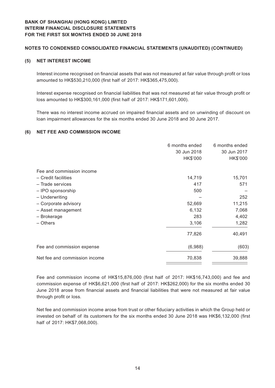## **Notes to Condensed Consolidated Financial Statements (Unaudited) (CONTINUED)**

## **(5) NET INTEREST INCOME**

Interest income recognised on financial assets that was not measured at fair value through profit or loss amounted to HK\$530,210,000 (first half of 2017: HK\$365,475,000).

Interest expense recognised on financial liabilities that was not measured at fair value through profit or loss amounted to HK\$300,161,000 (first half of 2017: HK\$171,601,000).

There was no interest income accrued on impaired financial assets and on unwinding of discount on loan impairment allowances for the six months ended 30 June 2018 and 30 June 2017.

#### **(6) NET FEE AND COMMISSION INCOME**

|                               | 6 months ended | 6 months ended |
|-------------------------------|----------------|----------------|
|                               | 30 Jun 2018    | 30 Jun 2017    |
|                               | HK\$'000       | HK\$'000       |
| Fee and commission income     |                |                |
| - Credit facilities           | 14,719         | 15,701         |
| - Trade services              | 417            | 571            |
| - IPO sponsorship             | 500            |                |
| - Underwriting                |                | 252            |
| - Corporate advisory          | 52,669         | 11,215         |
| - Asset management            | 6,132          | 7,068          |
| - Brokerage                   | 283            | 4,402          |
| - Others                      | 3,106          | 1,282          |
|                               | 77,826         | 40,491         |
| Fee and commission expense    | (6,988)        | (603)          |
| Net fee and commission income | 70,838         | 39,888         |

Fee and commission income of HK\$15,876,000 (first half of 2017: HK\$16,743,000) and fee and commission expense of HK\$6,621,000 (first half of 2017: HK\$262,000) for the six months ended 30 June 2018 arose from financial assets and financial liabilities that were not measured at fair value through profit or loss.

Net fee and commission income arose from trust or other fiduciary activities in which the Group held or invested on behalf of its customers for the six months ended 30 June 2018 was HK\$6,132,000 (first half of 2017: HK\$7,068,000).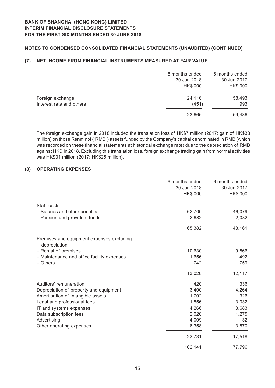# **Notes to Condensed Consolidated Financial Statements (Unaudited) (CONTINUED)**

## **(7) NET INCOME FROM FINANCIAL INSTRUMENTS MEASURED AT FAIR VALUE**

|                          | 6 months ended | 6 months ended |
|--------------------------|----------------|----------------|
|                          | 30 Jun 2018    | 30 Jun 2017    |
|                          | HK\$'000       | HK\$'000       |
| Foreign exchange         | 24,116         | 58,493         |
| Interest rate and others | (451)          | 993            |
|                          | 23,665         | 59,486         |
|                          |                |                |

The foreign exchange gain in 2018 included the translation loss of HK\$7 million (2017: gain of HK\$33 million) on those Renminbi ("RMB") assets funded by the Company's capital denominated in RMB (which was recorded on these financial statements at historical exchange rate) due to the depreciation of RMB against HKD in 2018. Excluding this translation loss, foreign exchange trading gain from normal activities was HK\$31 million (2017: HK\$25 million).

## **(8) OPERATING EXPENSES**

|                                                           | 6 months ended | 6 months ended |
|-----------------------------------------------------------|----------------|----------------|
|                                                           | 30 Jun 2018    | 30 Jun 2017    |
|                                                           | HK\$'000       | HK\$'000       |
| Staff costs                                               |                |                |
| - Salaries and other benefits                             | 62,700         | 46,079         |
| - Pension and provident funds                             | 2,682          | 2,082          |
|                                                           | 65,382         | 48,161         |
| Premises and equipment expenses excluding<br>depreciation |                |                |
| - Rental of premises                                      | 10,630         | 9,866          |
| - Maintenance and office facility expenses                | 1,656          | 1,492          |
| - Others                                                  | 742            | 759            |
|                                                           | 13,028         | 12,117         |
| Auditors' remuneration                                    | 420            | 336            |
| Depreciation of property and equipment                    | 3,400          | 4,264          |
| Amortisation of intangible assets                         | 1,702          | 1,326          |
| Legal and professional fees                               | 1,556          | 3,032          |
| IT and systems expenses                                   | 4,266          | 3,683          |
| Data subscription fees                                    | 2,020          | 1,275          |
| Advertising                                               | 4,009          | 32             |
| Other operating expenses                                  | 6,358          | 3,570          |
|                                                           | 23,731         | 17,518         |
|                                                           | 102,141        | 77,796         |

 $=$ 

 $\equiv$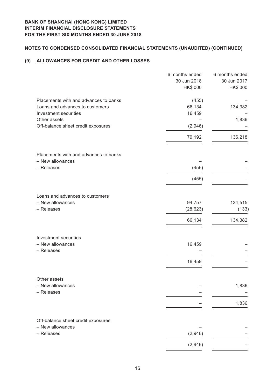# **Notes to Condensed Consolidated Financial Statements (Unaudited) (CONTINUED)**

## **(9) ALLOWANCES FOR CREDIT AND OTHER LOSSES**

|                                       | 6 months ended | 6 months ended |
|---------------------------------------|----------------|----------------|
|                                       | 30 Jun 2018    | 30 Jun 2017    |
|                                       | HK\$'000       | HK\$'000       |
| Placements with and advances to banks | (455)          |                |
| Loans and advances to customers       | 66,134         | 134,382        |
| Investment securities                 | 16,459         |                |
| Other assets                          |                | 1,836          |
| Off-balance sheet credit exposures    | (2,946)        |                |
|                                       | 79,192         | 136,218        |
|                                       |                |                |
| Placements with and advances to banks |                |                |
| - New allowances                      |                |                |
| - Releases                            | (455)          |                |
|                                       | (455)          |                |
|                                       |                |                |
| Loans and advances to customers       |                |                |
| - New allowances                      | 94,757         | 134,515        |
| - Releases                            | (28, 623)      | (133)          |
|                                       | 66,134         | 134,382        |
|                                       |                |                |
| Investment securities                 |                |                |
| - New allowances                      | 16,459         |                |
| - Releases                            |                |                |
|                                       | 16,459         |                |
|                                       |                |                |
| Other assets                          |                |                |
| - New allowances<br>- Releases        |                | 1,836          |
|                                       |                |                |
|                                       |                | 1,836          |
| Off-balance sheet credit exposures    |                |                |
| - New allowances                      |                |                |
| - Releases                            | (2,946)        |                |
|                                       | (2,946)        |                |
|                                       |                |                |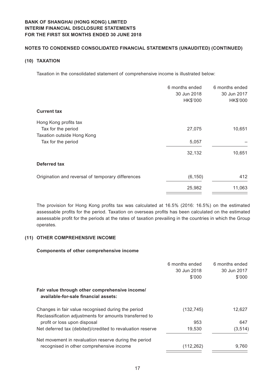## **Notes to Condensed Consolidated Financial Statements (Unaudited) (CONTINUED)**

## **(10) TAXATION**

Taxation in the consolidated statement of comprehensive income is illustrated below:

| 6 months ended<br>30 Jun 2018<br>HK\$'000 | 6 months ended<br>30 Jun 2017<br>HK\$'000 |
|-------------------------------------------|-------------------------------------------|
|                                           |                                           |
|                                           |                                           |
| 27,075                                    | 10,651                                    |
|                                           |                                           |
| 5,057                                     |                                           |
| 32,132                                    | 10,651                                    |
|                                           |                                           |
| (6, 150)                                  | 412                                       |
| 25,982                                    | 11,063                                    |
|                                           |                                           |

The provision for Hong Kong profits tax was calculated at 16.5% (2016: 16.5%) on the estimated assessable profits for the period. Taxation on overseas profits has been calculated on the estimated assessable profit for the periods at the rates of taxation prevailing in the countries in which the Group operates.

#### **(11) OTHER COMPREHENSIVE INCOME**

## **Components of other comprehensive income**

|                                                            | 6 months ended<br>30 Jun 2018 | 6 months ended<br>30 Jun 2017 |
|------------------------------------------------------------|-------------------------------|-------------------------------|
|                                                            |                               |                               |
|                                                            | \$'000                        | \$'000                        |
| Fair value through other comprehensive income/             |                               |                               |
| available-for-sale financial assets:                       |                               |                               |
| Changes in fair value recognised during the period         | (132, 745)                    | 12,627                        |
| Reclassification adjustments for amounts transferred to    |                               |                               |
| profit or loss upon disposal                               | 953                           | 647                           |
| Net deferred tax (debited)/credited to revaluation reserve | 19,530                        | (3, 514)                      |
| Net movement in revaluation reserve during the period      |                               |                               |
| recognised in other comprehensive income                   | (112, 262)                    | 9,760                         |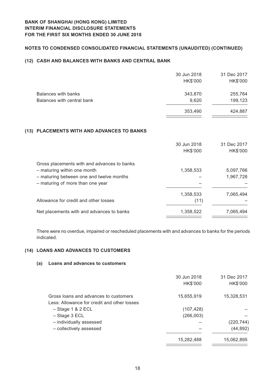# **Notes to Condensed Consolidated Financial Statements (Unaudited) (CONTINUED)**

## **(12) CASH AND BALANCES WITH BANKS AND CENTRAL BANK**

|                            | 30 Jun 2018 | 31 Dec 2017 |
|----------------------------|-------------|-------------|
|                            | HK\$'000    | HK\$'000    |
| Balances with banks        | 343,870     | 255,764     |
| Balances with central bank | 9,620       | 199,123     |
|                            | 353,490     | 424,887     |

#### **(13) PLACEMENTS WITH AND ADVANCES TO BANKS**

|                                                                              | 30 Jun 2018<br>HK\$'000 | 31 Dec 2017<br>HK\$'000 |
|------------------------------------------------------------------------------|-------------------------|-------------------------|
| Gross placements with and advances to banks<br>- maturing within one month   | 1,358,533               | 5,097,766               |
| - maturing between one and twelve months<br>- maturing of more than one year |                         | 1,967,728               |
| Allowance for credit and other losses                                        | 1,358,533<br>(11)       | 7,065,494               |
| Net placements with and advances to banks                                    | 1,358,522               | 7,065,494               |

There were no overdue, impaired or rescheduled placements with and advances to banks for the periods indicated.

## **(14) LOANS AND ADVANCES TO CUSTOMERS**

#### **(a) Loans and advances to customers**

| 30 Jun 2018<br>HK\$'000 | 31 Dec 2017<br>HK\$'000 |
|-------------------------|-------------------------|
| 15,655,919              | 15,328,531              |
|                         |                         |
| (107, 428)              |                         |
| (266, 003)              |                         |
|                         | (220, 744)              |
|                         | (44, 892)               |
| 15,282,488              | 15,062,895              |
|                         |                         |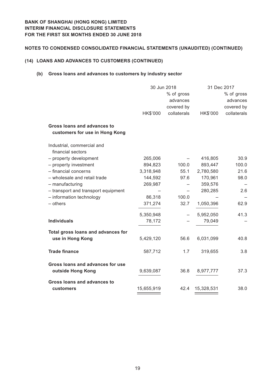# **Notes to Condensed Consolidated Financial Statements (Unaudited) (CONTINUED)**

## **(14) LOANS AND ADVANCES TO CUSTOMERS (CONTINUED)**

## **(b) Gross loans and advances to customers by industry sector**

|                                                               |            | 30 Jun 2018 |            | 31 Dec 2017 |
|---------------------------------------------------------------|------------|-------------|------------|-------------|
|                                                               |            | % of gross  |            | % of gross  |
|                                                               |            | advances    |            | advances    |
|                                                               |            | covered by  |            | covered by  |
|                                                               | HK\$'000   | collaterals | HK\$'000   | collaterals |
| Gross loans and advances to<br>customers for use in Hong Kong |            |             |            |             |
| Industrial, commercial and<br>financial sectors               |            |             |            |             |
| - property development                                        | 265,006    |             | 416,805    | 30.9        |
| - property investment                                         | 894,823    | 100.0       | 893,447    | 100.0       |
| - financial concerns                                          | 3,318,948  | 55.1        | 2,780,580  | 21.6        |
| - wholesale and retail trade                                  | 144,592    | 97.6        | 170,961    | 98.0        |
| - manufacturing                                               | 269,987    |             | 359,576    |             |
| - transport and transport equipment                           |            |             | 280,285    | 2.6         |
| - information technology                                      | 86,318     | 100.0       |            |             |
| $-$ others                                                    | 371,274    | 32.7        | 1,050,396  | 62.9        |
|                                                               | 5,350,948  |             | 5,952,050  | 41.3        |
| <b>Individuals</b>                                            | 78,172     |             | 79,049     |             |
| Total gross loans and advances for                            |            |             |            |             |
| use in Hong Kong                                              | 5,429,120  | 56.6        | 6,031,099  | 40.8        |
| <b>Trade finance</b>                                          | 587,712    | 1.7         | 319,655    | 3.8         |
| Gross loans and advances for use<br>outside Hong Kong         | 9,639,087  | 36.8        | 8,977,777  | 37.3        |
| <b>Gross loans and advances to</b><br>customers               | 15,655,919 | 42.4        | 15,328,531 | 38.0        |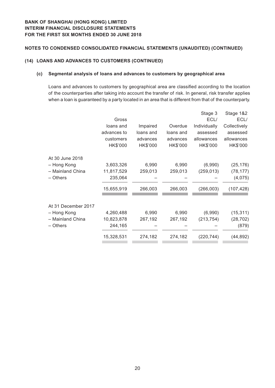## **(14) LOANS AND ADVANCES TO CUSTOMERS (CONTINUED)**

#### **(c) Segmental analysis of loans and advances to customers by geographical area**

Loans and advances to customers by geographical area are classified according to the location of the counterparties after taking into account the transfer of risk. In general, risk transfer applies when a loan is guaranteed by a party located in an area that is different from that of the counterparty.

|                     |             |           |           | Stage 3      | Stage 1&2    |
|---------------------|-------------|-----------|-----------|--------------|--------------|
|                     | Gross       |           |           | ECL/         | ECL/         |
|                     | loans and   | Impaired  | Overdue   | Individually | Collectively |
|                     | advances to | loans and | loans and | assessed     | assessed     |
|                     | customers   | advances  | advances  | allowances   | allowances   |
|                     | HK\$'000    | HK\$'000  | HK\$'000  | HK\$'000     | HK\$'000     |
| At 30 June 2018     |             |           |           |              |              |
| - Hong Kong         | 3,603,326   | 6,990     | 6,990     | (6,990)      | (25, 176)    |
| - Mainland China    | 11,817,529  | 259,013   | 259,013   | (259, 013)   | (78, 177)    |
| – Others            | 235,064     |           |           |              | (4,075)      |
|                     | 15,655,919  | 266,003   | 266,003   | (266, 003)   | (107, 428)   |
| At 31 December 2017 |             |           |           |              |              |
| - Hong Kong         | 4,260,488   | 6,990     | 6,990     | (6,990)      | (15, 311)    |
| - Mainland China    | 10,823,878  | 267,192   | 267,192   | (213, 754)   | (28, 702)    |
| - Others            | 244,165     |           |           |              | (879)        |
|                     | 15,328,531  | 274,182   | 274,182   | (220, 744)   | (44, 892)    |
|                     |             |           |           |              |              |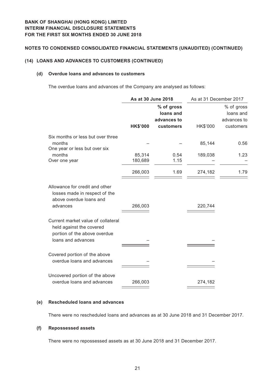# **Notes to Condensed Consolidated Financial Statements (Unaudited) (CONTINUED)**

## **(14) LOANS AND ADVANCES TO CUSTOMERS (CONTINUED)**

#### **(d) Overdue loans and advances to customers**

The overdue loans and advances of the Company are analysed as follows:

|                                                                                                | As at 30 June 2018 |                                                     | As at 31 December 2017 |                                                     |
|------------------------------------------------------------------------------------------------|--------------------|-----------------------------------------------------|------------------------|-----------------------------------------------------|
|                                                                                                | <b>HK\$'000</b>    | % of gross<br>loans and<br>advances to<br>customers | HK\$'000               | % of gross<br>loans and<br>advances to<br>customers |
| Six months or less but over three<br>months                                                    |                    |                                                     | 85,144                 | 0.56                                                |
| One year or less but over six<br>months                                                        | 85,314             | 0.54                                                | 189,038                | 1.23                                                |
| Over one year                                                                                  | 180,689            | 1.15                                                |                        |                                                     |
|                                                                                                | 266,003            | 1.69                                                | 274,182                | 1.79                                                |
| Allowance for credit and other<br>losses made in respect of the<br>above overdue loans and     |                    |                                                     |                        |                                                     |
| advances                                                                                       | 266,003            |                                                     | 220,744                |                                                     |
| Current market value of collateral<br>held against the covered<br>portion of the above overdue |                    |                                                     |                        |                                                     |
| loans and advances                                                                             |                    |                                                     |                        |                                                     |
| Covered portion of the above<br>overdue loans and advances                                     |                    |                                                     |                        |                                                     |
| Uncovered portion of the above<br>overdue loans and advances                                   | 266,003            |                                                     | 274,182                |                                                     |

## **(e) Rescheduled loans and advances**

There were no rescheduled loans and advances as at 30 June 2018 and 31 December 2017.

#### **(f) Repossessed assets**

There were no repossessed assets as at 30 June 2018 and 31 December 2017.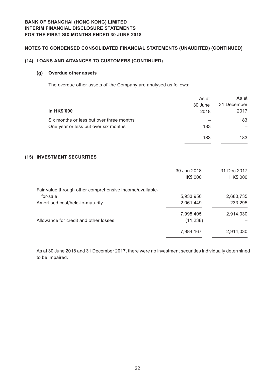# **Notes to Condensed Consolidated Financial Statements (Unaudited ) (CONTINUED)**

## **(14) LOANS AND ADVANCES TO CUSTOMERS (CONTINUED)**

## **(g) Overdue other assets**

The overdue other assets of the Company are analysed as follows:

| <b>In HK\$'000</b>                                       | As at<br>30 June<br>2018 | As at<br>31 December<br>2017 |
|----------------------------------------------------------|--------------------------|------------------------------|
| Six months or less but over three months                 |                          | 183                          |
| One year or less but over six months                     | 183                      |                              |
|                                                          | 183                      | 183                          |
| (15) INVESTMENT SECURITIES                               |                          |                              |
|                                                          | 30 Jun 2018              | 31 Dec 2017                  |
|                                                          | HK\$'000                 | HK\$'000                     |
| Fair value through other comprehensive income/available- |                          |                              |
| for-sale                                                 | 5,933,956                | 2,680,735                    |
| Amortised cost/held-to-maturity                          | 2,061,449                | 233,295                      |
|                                                          | 7,995,405                | 2,914,030                    |
| Allowance for credit and other losses                    | (11, 238)                |                              |
|                                                          | 7,984,167                | 2,914,030                    |
|                                                          |                          |                              |

As at 30 June 2018 and 31 December 2017, there were no investment securities individually determined to be impaired.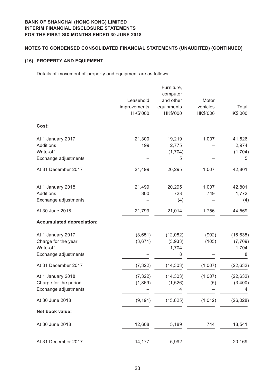## **Notes to Condensed Consolidated Financial Statements (Unaudited) (CONTINUED)**

## **(16) PROPERTY AND EQUIPMENT**

Details of movement of property and equipment are as follows:

|                                  | Leasehold<br>improvements | Furniture,<br>computer<br>and other<br>equipments | Motor<br>vehicles | Total     |
|----------------------------------|---------------------------|---------------------------------------------------|-------------------|-----------|
|                                  | HK\$'000                  | HK\$'000                                          | HK\$'000          | HK\$'000  |
| Cost:                            |                           |                                                   |                   |           |
| At 1 January 2017                | 21,300                    | 19,219                                            | 1,007             | 41,526    |
| Additions                        | 199                       | 2,775                                             |                   | 2,974     |
| Write-off                        |                           | (1,704)                                           |                   | (1,704)   |
| Exchange adjustments             |                           | 5                                                 |                   | 5         |
| At 31 December 2017              | 21,499                    | 20,295                                            | 1,007             | 42,801    |
| At 1 January 2018                | 21,499                    | 20,295                                            | 1,007             | 42,801    |
| <b>Additions</b>                 | 300                       | 723                                               | 749               | 1,772     |
| Exchange adjustments             |                           | (4)                                               |                   | (4)       |
| At 30 June 2018                  | 21,799                    | 21,014                                            | 1,756             | 44,569    |
| <b>Accumulated depreciation:</b> |                           |                                                   |                   |           |
| At 1 January 2017                | (3,651)                   | (12,082)                                          | (902)             | (16, 635) |
| Charge for the year              | (3,671)                   | (3,933)                                           | (105)             | (7, 709)  |
| Write-off                        |                           | 1,704                                             |                   | 1,704     |
| Exchange adjustments             |                           | 8                                                 |                   | 8         |
| At 31 December 2017              | (7, 322)                  | (14, 303)                                         | (1,007)           | (22, 632) |
| At 1 January 2018                | (7, 322)                  | (14, 303)                                         | (1,007)           | (22, 632) |
| Charge for the period            | (1,869)                   | (1,526)                                           | (5)               | (3,400)   |
| Exchange adjustments             |                           | 4                                                 |                   | 4         |
| At 30 June 2018                  | (9, 191)                  | (15, 825)                                         | (1, 012)          | (26, 028) |
| Net book value:                  |                           |                                                   |                   |           |
| At 30 June 2018                  | 12,608                    | 5,189                                             | 744               | 18,541    |
| At 31 December 2017              | 14,177                    | 5,992                                             |                   | 20,169    |
|                                  |                           |                                                   |                   |           |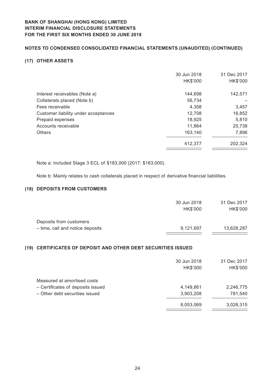# **Notes to Condensed Consolidated Financial Statements (Unaudited) (CONTINUED)**

## **(17) OTHER ASSETS**

|                                      | 30 Jun 2018<br>HK\$'000 | 31 Dec 2017<br>HK\$'000 |
|--------------------------------------|-------------------------|-------------------------|
| Interest receivables (Note a)        | 144,698                 | 142,571                 |
| Collaterals placed (Note b)          | 56,734                  |                         |
| Fees receivable                      | 4,308                   | 3,457                   |
| Customer liability under acceptances | 12,708                  | 16,852                  |
| Prepaid expenses                     | 18,925                  | 5,810                   |
| Accounts receivable                  | 11,864                  | 25,738                  |
| <b>Others</b>                        | 163.140                 | 7,896                   |
|                                      | 412,377                 | 202,324                 |

Note a: Included Stage 3 ECL of \$183,000 (2017: \$183,000).

Note b: Mainly relates to cash collaterals placed in respect of derivative financial liabilities.

## **(18) DEPOSITS FROM CUSTOMERS**

| 30 Jun 2018 | 31 Dec 2017 |
|-------------|-------------|
| HK\$'000    | HK\$'000    |
|             |             |
| 9,121,697   | 13,628,287  |
|             |             |

#### **(19) CERTIFICATES OF DEPOSIT AND OTHER DEBT SECURITIES ISSUED**

| 30 Jun 2018<br>HK\$'000 | 31 Dec 2017<br>HK\$'000 |
|-------------------------|-------------------------|
|                         |                         |
| 4,149,861               | 2,246,775               |
| 3,903,208               | 781,540                 |
| 8,053,069               | 3,028,315               |
|                         |                         |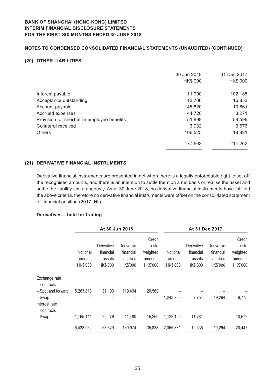# **Notes to Condensed Consolidated Financial Statements (Unaudited) (CONTINUED)**

## **(20) OTHER LIABILITIES**

|                                            | 30 Jun 2018<br>HK\$'000 | 31 Dec 2017<br>HK\$'000 |
|--------------------------------------------|-------------------------|-------------------------|
| Interest payable                           | 111.900                 | 102,185                 |
| Acceptance outstanding                     | 12,708                  | 16,852                  |
| Account payable                            | 145,820                 | 10,861                  |
| Accrued expenses                           | 44,720                  | 3,271                   |
| Provision for short term employee benefits | 51,898                  | 58,596                  |
| Collateral received                        | 3,932                   | 3,676                   |
| <b>Others</b>                              | 106,525                 | 18,821                  |
|                                            | 477,503                 | 214,262                 |

#### **(21) DERIVATIVE FINANCIAL INSTRUMENTS**

Derivative financial instruments are presented in net when there is a legally enforceable right to set off the recognised amounts, and there is an intention to settle them on a net basis or realise the asset and settle the liability simultaneously. As at 30 June 2018, no derivative financial instruments have fulfilled the above criteria, therefore no derivative financial instruments were offset on the consolidated statement of financial position (2017: Nil).

#### **Derivatives – held for trading**

| At 30 Jun 2018 |            |             |          |           |            |             |                |
|----------------|------------|-------------|----------|-----------|------------|-------------|----------------|
|                |            |             | Credit   |           |            |             | Credit         |
|                | Derivative | Derivative  | risk-    |           | Derivative | Derivative  | risk-          |
| Notional       | financial  | financial   | weighted | Notional  | financial  | financial   | weighted       |
| amount         | assets     | liabilities | amounts  | amount    | assets     | liabilities | amounts        |
| HK\$'000       | HK\$'000   | HK\$'000    | HK\$'000 | HK\$'000  | HK\$'000   | HK\$'000    | HK\$'000       |
|                |            |             |          |           |            |             |                |
| 5,263,818      | 31,103     | 119,494     | 20,569   |           |            |             |                |
|                |            |             | -        | 1,243,705 | 7,754      | 19,294      | 9,775          |
| 1,165,144      | 22,276     | 11,480      | 15,269   | 1,122,126 | 11,781     | -           | 10,672         |
| 6,428,962      | 53,379     | 130,974     | 35,838   | 2,365,831 | 19,535     | 19,294      | 20,447         |
|                |            |             |          |           |            |             | At 31 Dec 2017 |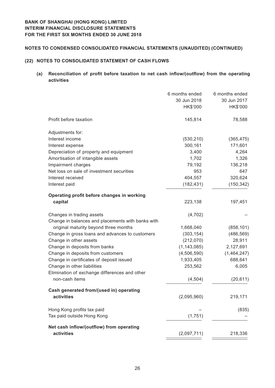## **Notes to Condensed Consolidated Financial Statements (Unaudited) (CONTINUED)**

## **(22) NOTES TO CONSOLIDATED STATEMENT OF CASH FLOWS**

# **(a) Reconciliation of profit before taxation to net cash inflow/(outflow) from the operating activities**

|                                                   | 6 months ended<br>30 Jun 2018<br>HK\$'000 | 6 months ended<br>30 Jun 2017<br>HK\$'000 |
|---------------------------------------------------|-------------------------------------------|-------------------------------------------|
| Profit before taxation                            | 145,814                                   | 78,588                                    |
| Adjustments for:                                  |                                           |                                           |
| Interest income                                   | (530, 210)                                | (365, 475)                                |
| Interest expense                                  | 300,161                                   | 171,601                                   |
| Depreciation of property and equipment            | 3,400                                     | 4,264                                     |
| Amortisation of intangible assets                 | 1,702                                     | 1,326                                     |
| Impairment charges                                | 79,192                                    | 136,218                                   |
| Net loss on sale of investment securities         | 953                                       | 647                                       |
| Interest received                                 | 404,557                                   | 320,624                                   |
| Interest paid                                     | (182, 431)                                | (150, 342)                                |
| Operating profit before changes in working        |                                           |                                           |
| capital                                           | 223,138                                   | 197,451                                   |
| Changes in trading assets                         | (4, 702)                                  |                                           |
| Change in balances and placements with banks with |                                           |                                           |
| original maturity beyond three months             | 1,668,040                                 | (858, 101)                                |
| Change in gross loans and advances to customers   | (303, 154)                                | (486, 569)                                |
| Change in other assets                            | (212,070)                                 | 28,911                                    |
| Change in deposits from banks                     | (1, 143, 085)                             | 2,127,691                                 |
| Change in deposits from customers                 | (4,506,590)                               | (1,464,247)                               |
| Change in certificates of deposit issued          | 1,933,405                                 | 688,641                                   |
| Change in other liabilities                       | 253,562                                   | 6,005                                     |
| Elimination of exchange differences and other     |                                           |                                           |
| non-cash items                                    | (4, 504)                                  | (20, 611)                                 |
| Cash generated from/(used in) operating           |                                           |                                           |
| activities                                        | (2,095,960)                               | 219,171                                   |
| Hong Kong profits tax paid                        |                                           | (835)                                     |
| Tax paid outside Hong Kong                        | (1,751)                                   |                                           |
| Net cash inflow/(outflow) from operating          |                                           |                                           |
| activities                                        | (2,097,711)                               | 218,336                                   |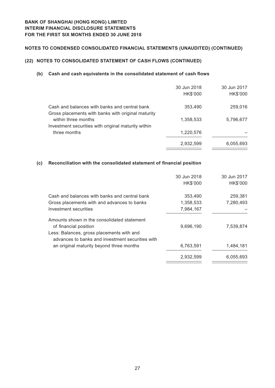# **Notes to Condensed Consolidated Financial Statements (Unaudited) (CONTINUED)**

# **(22) NOTES TO CONSOLIDATED STATEMENT OF CASH FLOWS (CONTINUED)**

## **(b) Cash and cash equivalents in the consolidated statement of cash flows**

|                                                                                                     | 30 Jun 2018 | 30 Jun 2017 |
|-----------------------------------------------------------------------------------------------------|-------------|-------------|
|                                                                                                     | HK\$'000    | HK\$'000    |
| Cash and balances with banks and central bank<br>Gross placements with banks with original maturity | 353,490     | 259,016     |
| within three months                                                                                 | 1,358,533   | 5,796,677   |
| Investment securities with original maturity within                                                 |             |             |
| three months                                                                                        | 1,220,576   |             |
|                                                                                                     | 2,932,599   | 6,055,693   |

## **(c) Reconciliation with the consolidated statement of financial position**

|                                                                                               | 30 Jun 2018<br>HK\$'000 | 30 Jun 2017<br>HK\$'000 |
|-----------------------------------------------------------------------------------------------|-------------------------|-------------------------|
|                                                                                               |                         |                         |
| Cash and balances with banks and central bank                                                 | 353,490                 | 259,381                 |
| Gross placements with and advances to banks                                                   | 1,358,533               | 7,280,493               |
| Investment securities                                                                         | 7,984,167               |                         |
| Amounts shown in the consolidated statement                                                   |                         |                         |
| of financial position                                                                         | 9,696,190               | 7,539,874               |
| Less: Balances, gross placements with and<br>advances to banks and investment securities with |                         |                         |
| an original maturity beyond three months                                                      | 6,763,591               | 1,484,181               |
|                                                                                               | 2,932,599               | 6,055,693               |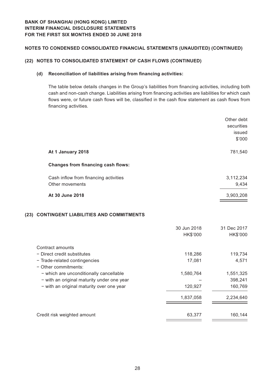## **Notes to Condensed Consolidated Financial Statements (Unaudited) (CONTINUED)**

## **(22) NOTES TO CONSOLIDATED STATEMENT OF CASH FLOWS (CONTINUED)**

## **(d) Reconciliation of liabilities arising from financing activities:**

The table below details changes in the Group's liabilities from financing activities, including both cash and non-cash change. Liabilities arising from financing activities are liabilities for which cash flows were, or future cash flows will be, classified in the cash flow statement as cash flows from financing activities.

|                                                          |                         | Other debt<br>securities<br>issued<br>\$'000 |
|----------------------------------------------------------|-------------------------|----------------------------------------------|
| At 1 January 2018                                        |                         | 781,540                                      |
| <b>Changes from financing cash flows:</b>                |                         |                                              |
| Cash inflow from financing activities<br>Other movements |                         | 3,112,234<br>9,434                           |
| At 30 June 2018                                          |                         | 3,903,208                                    |
| (23) CONTINGENT LIABILITIES AND COMMITMENTS              |                         |                                              |
|                                                          | 30 Jun 2018<br>HK\$'000 | 31 Dec 2017<br>HK\$'000                      |
| Contract amounts                                         |                         |                                              |

| - Direct credit substitutes                | 118,286   | 119,734   |
|--------------------------------------------|-----------|-----------|
| - Trade-related contingencies              | 17,081    | 4,571     |
| - Other commitments:                       |           |           |
| - which are unconditionally cancellable    | 1,580,764 | 1,551,325 |
| - with an original maturity under one year |           | 398,241   |
| - with an original maturity over one year  | 120,927   | 160,769   |
|                                            | 1,837,058 | 2,234,640 |
| Credit risk weighted amount                | 63,377    | 160,144   |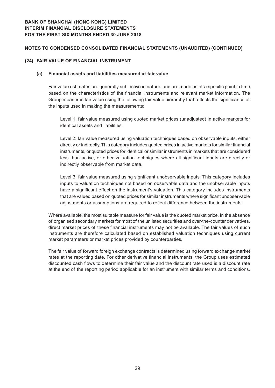## **Notes to Condensed Consolidated Financial Statements (Unaudited) (CONTINUED)**

#### **(24) FAIR VALUE OF FINANCIAL INSTRUMENT**

#### **(a) Financial assets and liabilities measured at fair value**

Fair value estimates are generally subjective in nature, and are made as of a specific point in time based on the characteristics of the financial instruments and relevant market information. The Group measures fair value using the following fair value hierarchy that reflects the significance of the inputs used in making the measurements:

Level 1: fair value measured using quoted market prices (unadjusted) in active markets for identical assets and liabilities.

Level 2: fair value measured using valuation techniques based on observable inputs, either directly or indirectly. This category includes quoted prices in active markets for similar financial instruments, or quoted prices for identical or similar instruments in markets that are considered less than active, or other valuation techniques where all significant inputs are directly or indirectly observable from market data.

Level 3: fair value measured using significant unobservable inputs. This category includes inputs to valuation techniques not based on observable data and the unobservable inputs have a significant effect on the instrument's valuation. This category includes instruments that are valued based on quoted prices for similar instruments where significant unobservable adjustments or assumptions are required to reflect difference between the instruments.

Where available, the most suitable measure for fair value is the quoted market price. In the absence of organised secondary markets for most of the unlisted securities and over-the-counter derivatives, direct market prices of these financial instruments may not be available. The fair values of such instruments are therefore calculated based on established valuation techniques using current market parameters or market prices provided by counterparties.

The fair value of forward foreign exchange contracts is determined using forward exchange market rates at the reporting date. For other derivative financial instruments, the Group uses estimated discounted cash flows to determine their fair value and the discount rate used is a discount rate at the end of the reporting period applicable for an instrument with similar terms and conditions.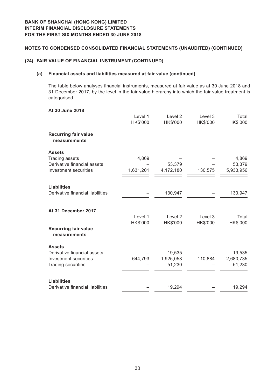## **(24) FAIR VALUE OF FINANCIAL INSTRUMENT (CONTINUED)**

#### **(a) Financial assets and liabilities measured at fair value (continued)**

The table below analyses financial instruments, measured at fair value as at 30 June 2018 and 31 December 2017, by the level in the fair value hierarchy into which the fair value treatment is categorised.

| Level 1<br>Level 2<br>Level 3<br>Total<br>HK\$'000<br>HK\$'000<br>HK\$'000<br>HK\$'000<br><b>Recurring fair value</b><br>measurements<br><b>Assets</b><br>Trading assets<br>4,869<br>4,869<br>Derivative financial assets<br>53,379<br>53,379<br>4,172,180<br>Investment securities<br>1,631,201<br>130,575<br>5,933,956<br><b>Liabilities</b><br>Derivative financial liabilities<br>130,947<br>130,947<br>At 31 December 2017<br>Level 1<br>Level <sub>2</sub><br>Level 3<br>Total<br>HK\$'000<br>HK\$'000<br>HK\$'000<br>HK\$'000<br><b>Recurring fair value</b><br>measurements<br><b>Assets</b><br>Derivative financial assets<br>19,535<br>19,535<br>110,884<br>Investment securities<br>644,793<br>1,925,058<br>2,680,735<br>51,230<br>51,230<br><b>Trading securities</b><br><b>Liabilities</b><br>Derivative financial liabilities<br>19,294<br>19,294 | At 30 June 2018 |  |  |
|-----------------------------------------------------------------------------------------------------------------------------------------------------------------------------------------------------------------------------------------------------------------------------------------------------------------------------------------------------------------------------------------------------------------------------------------------------------------------------------------------------------------------------------------------------------------------------------------------------------------------------------------------------------------------------------------------------------------------------------------------------------------------------------------------------------------------------------------------------------------|-----------------|--|--|
|                                                                                                                                                                                                                                                                                                                                                                                                                                                                                                                                                                                                                                                                                                                                                                                                                                                                 |                 |  |  |
|                                                                                                                                                                                                                                                                                                                                                                                                                                                                                                                                                                                                                                                                                                                                                                                                                                                                 |                 |  |  |
|                                                                                                                                                                                                                                                                                                                                                                                                                                                                                                                                                                                                                                                                                                                                                                                                                                                                 |                 |  |  |
|                                                                                                                                                                                                                                                                                                                                                                                                                                                                                                                                                                                                                                                                                                                                                                                                                                                                 |                 |  |  |
|                                                                                                                                                                                                                                                                                                                                                                                                                                                                                                                                                                                                                                                                                                                                                                                                                                                                 |                 |  |  |
|                                                                                                                                                                                                                                                                                                                                                                                                                                                                                                                                                                                                                                                                                                                                                                                                                                                                 |                 |  |  |
|                                                                                                                                                                                                                                                                                                                                                                                                                                                                                                                                                                                                                                                                                                                                                                                                                                                                 |                 |  |  |
|                                                                                                                                                                                                                                                                                                                                                                                                                                                                                                                                                                                                                                                                                                                                                                                                                                                                 |                 |  |  |
|                                                                                                                                                                                                                                                                                                                                                                                                                                                                                                                                                                                                                                                                                                                                                                                                                                                                 |                 |  |  |
|                                                                                                                                                                                                                                                                                                                                                                                                                                                                                                                                                                                                                                                                                                                                                                                                                                                                 |                 |  |  |
|                                                                                                                                                                                                                                                                                                                                                                                                                                                                                                                                                                                                                                                                                                                                                                                                                                                                 |                 |  |  |
|                                                                                                                                                                                                                                                                                                                                                                                                                                                                                                                                                                                                                                                                                                                                                                                                                                                                 |                 |  |  |
|                                                                                                                                                                                                                                                                                                                                                                                                                                                                                                                                                                                                                                                                                                                                                                                                                                                                 |                 |  |  |
|                                                                                                                                                                                                                                                                                                                                                                                                                                                                                                                                                                                                                                                                                                                                                                                                                                                                 |                 |  |  |
|                                                                                                                                                                                                                                                                                                                                                                                                                                                                                                                                                                                                                                                                                                                                                                                                                                                                 |                 |  |  |
|                                                                                                                                                                                                                                                                                                                                                                                                                                                                                                                                                                                                                                                                                                                                                                                                                                                                 |                 |  |  |
|                                                                                                                                                                                                                                                                                                                                                                                                                                                                                                                                                                                                                                                                                                                                                                                                                                                                 |                 |  |  |
|                                                                                                                                                                                                                                                                                                                                                                                                                                                                                                                                                                                                                                                                                                                                                                                                                                                                 |                 |  |  |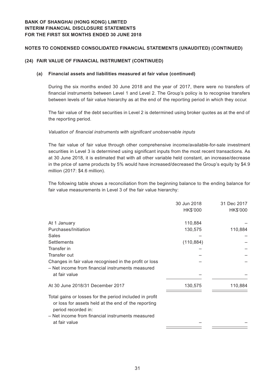## **(24) FAIR VALUE OF FINANCIAL INSTRUMENT (CONTINUED)**

#### **(a) Financial assets and liabilities measured at fair value (continued)**

During the six months ended 30 June 2018 and the year of 2017, there were no transfers of financial instruments between Level 1 and Level 2. The Group's policy is to recognise transfers between levels of fair value hierarchy as at the end of the reporting period in which they occur.

The fair value of the debt securities in Level 2 is determined using broker quotes as at the end of the reporting period.

#### *Valuation of financial instruments with significant unobservable inputs*

The fair value of fair value through other comprehensive income/available-for-sale investment securities in Level 3 is determined using significant inputs from the most recent transactions. As at 30 June 2018, it is estimated that with all other variable held constant, an increase/decrease in the price of same products by 5% would have increased/decreased the Group's equity by \$4.9 million (2017: \$4.6 million).

The following table shows a reconciliation from the beginning balance to the ending balance for fair value measurements in Level 3 of the fair value hierarchy:

|                                                                            | 30 Jun 2018 | 31 Dec 2017 |
|----------------------------------------------------------------------------|-------------|-------------|
|                                                                            | HK\$'000    | HK\$'000    |
| At 1 January                                                               | 110,884     |             |
| Purchases/Initiation                                                       | 130,575     | 110,884     |
| Sales                                                                      |             |             |
| <b>Settlements</b>                                                         | (110, 884)  |             |
| Transfer in                                                                |             |             |
| Transfer out                                                               |             |             |
| Changes in fair value recognised in the profit or loss                     |             |             |
| - Net income from financial instruments measured                           |             |             |
| at fair value                                                              |             |             |
| At 30 June 2018/31 December 2017                                           | 130,575     | 110,884     |
| Total gains or losses for the period included in profit                    |             |             |
| or loss for assets held at the end of the reporting<br>period recorded in: |             |             |
| - Net income from financial instruments measured                           |             |             |
| at fair value                                                              |             |             |
|                                                                            |             |             |